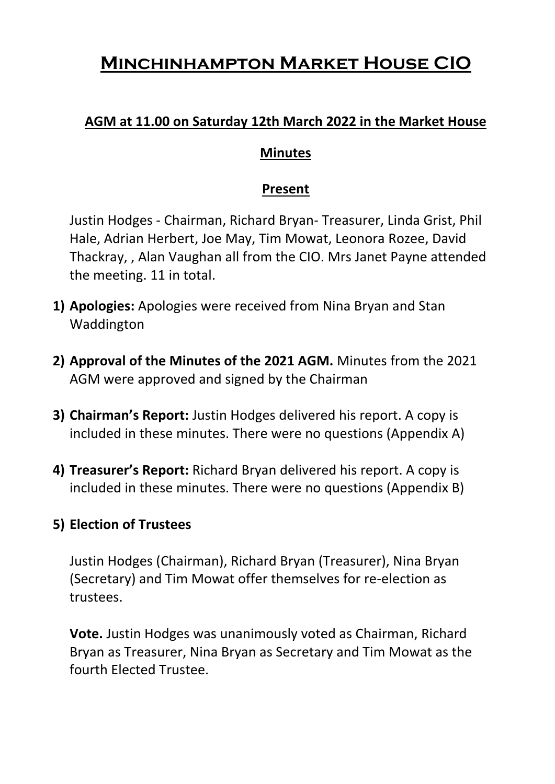# **Minchinhampton Market House CIO**

### **AGM at 11.00 on Saturday 12th March 2022 in the Market House**

#### **Minutes**

#### **Present**

Justin Hodges - Chairman, Richard Bryan- Treasurer, Linda Grist, Phil Hale, Adrian Herbert, Joe May, Tim Mowat, Leonora Rozee, David Thackray, , Alan Vaughan all from the CIO. Mrs Janet Payne attended the meeting. 11 in total.

- **1) Apologies:** Apologies were received from Nina Bryan and Stan Waddington
- **2) Approval of the Minutes of the 2021 AGM.** Minutes from the 2021 AGM were approved and signed by the Chairman
- **3) Chairman's Report:** Justin Hodges delivered his report. A copy is included in these minutes. There were no questions (Appendix A)
- **4) Treasurer's Report:** Richard Bryan delivered his report. A copy is included in these minutes. There were no questions (Appendix B)

#### **5) Election of Trustees**

Justin Hodges (Chairman), Richard Bryan (Treasurer), Nina Bryan (Secretary) and Tim Mowat offer themselves for re-election as trustees.

**Vote.** Justin Hodges was unanimously voted as Chairman, Richard Bryan as Treasurer, Nina Bryan as Secretary and Tim Mowat as the fourth Elected Trustee.